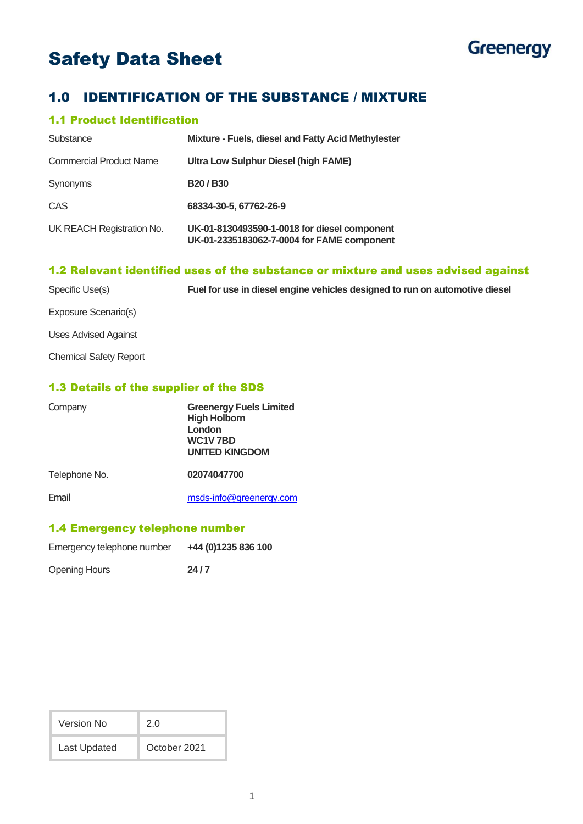# Safety Data Sheet



# 1.0 IDENTIFICATION OF THE SUBSTANCE / MIXTURE

# 1.1 Product Identification

| Substance                      | Mixture - Fuels, diesel and Fatty Acid Methylester                                         |
|--------------------------------|--------------------------------------------------------------------------------------------|
| <b>Commercial Product Name</b> | Ultra Low Sulphur Diesel (high FAME)                                                       |
| Synonyms                       | <b>B20/B30</b>                                                                             |
| CAS                            | 68334-30-5, 67762-26-9                                                                     |
| UK REACH Registration No.      | UK-01-8130493590-1-0018 for diesel component<br>UK-01-2335183062-7-0004 for FAME component |

# 1.2 Relevant identified uses of the substance or mixture and uses advised against

| Specific Use(s)               | Fuel for use in diesel engine vehicles designed to run on automotive diesel |
|-------------------------------|-----------------------------------------------------------------------------|
| Exposure Scenario(s)          |                                                                             |
| Uses Advised Against          |                                                                             |
| <b>Chemical Safety Report</b> |                                                                             |

## 1.3 Details of the supplier of the SDS

| Company       | <b>Greenergy Fuels Limited</b><br><b>High Holborn</b><br>London<br>WC1V7BD<br><b>UNITED KINGDOM</b> |
|---------------|-----------------------------------------------------------------------------------------------------|
| Telephone No. | 02074047700                                                                                         |
| Email         | msds-info@greenergy.com                                                                             |

## 1.4 Emergency telephone number

| Emergency telephone number | +44 (0)1235 836 100 |
|----------------------------|---------------------|
|                            |                     |

Opening Hours **24/7** 

| Version No   | 2 O          |
|--------------|--------------|
| Last Updated | October 2021 |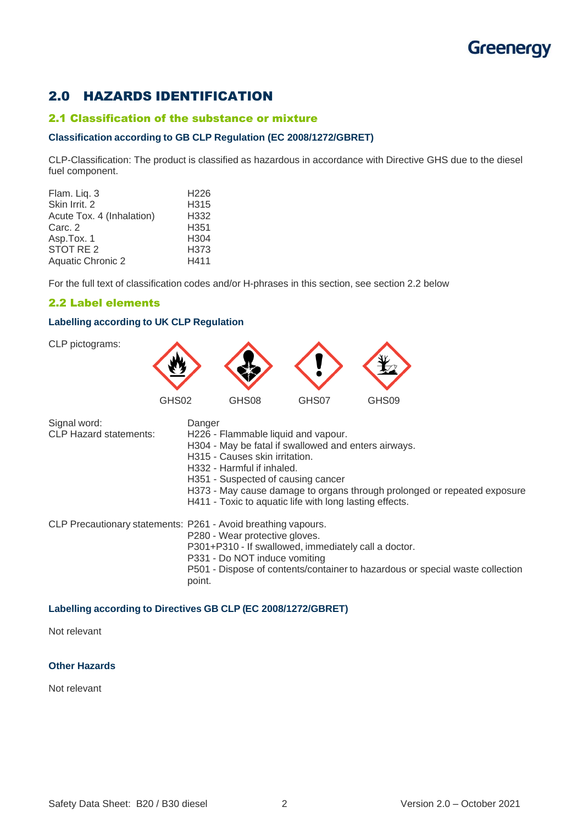# **Greenergy**

# 2.0 HAZARDS IDENTIFICATION

### 2.1 Classification of the substance or mixture

#### **Classification according to GB CLP Regulation (EC 2008/1272/GBRET)**

CLP-Classification: The product is classified as hazardous in accordance with Directive GHS due to the diesel fuel component.

| Flam. Liq. 3              | H <sub>226</sub> |
|---------------------------|------------------|
| Skin Irrit. 2             | H315             |
| Acute Tox. 4 (Inhalation) | H332             |
| Carc. 2                   | H351             |
| Asp.Tox. 1                | H <sub>304</sub> |
| STOT RE <sub>2</sub>      | H373             |
| <b>Aquatic Chronic 2</b>  | H411             |

For the full text of classification codes and/or H-phrases in this section, see section 2.2 below

## 2.2 Label elements

#### **Labelling according to UK CLP Regulation**



| Signal word:                  | Danger                                                                                  |
|-------------------------------|-----------------------------------------------------------------------------------------|
| <b>CLP Hazard statements:</b> | H226 - Flammable liquid and vapour.                                                     |
|                               | H304 - May be fatal if swallowed and enters airways.                                    |
|                               | H315 - Causes skin irritation.                                                          |
|                               | H332 - Harmful if inhaled.                                                              |
|                               | H351 - Suspected of causing cancer                                                      |
|                               | H373 - May cause damage to organs through prolonged or repeated exposure                |
|                               | H411 - Toxic to aquatic life with long lasting effects.                                 |
|                               | CLP Precautionary statements: P261 - Avoid breathing vapours.                           |
|                               | P280 - Wear protective gloves.                                                          |
|                               | P301+P310 - If swallowed, immediately call a doctor.                                    |
|                               | P331 - Do NOT induce vomiting                                                           |
|                               | P501 - Dispose of contents/container to hazardous or special waste collection<br>point. |

# **Labelling according to Directives GB CLP (EC 2008/1272/GBRET)**

Not relevant

#### **Other Hazards**

Not relevant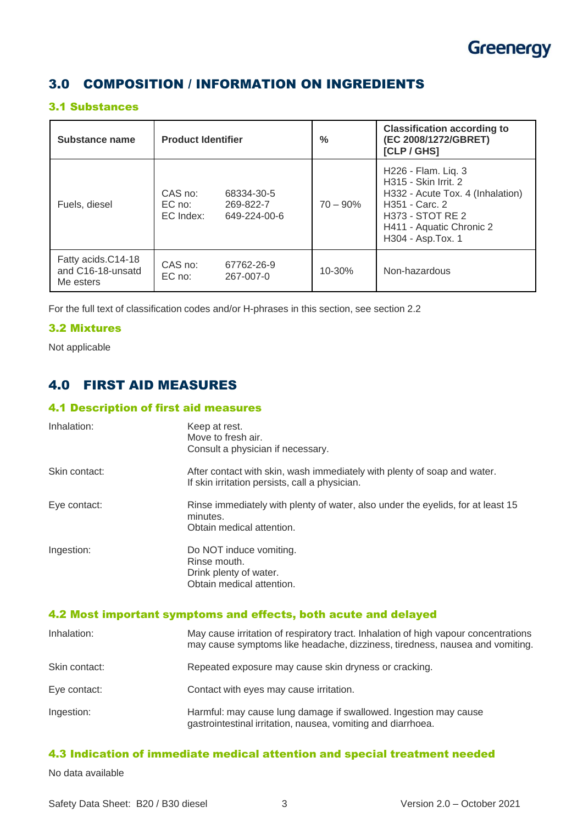

# 3.0 COMPOSITION / INFORMATION ON INGREDIENTS

## 3.1 Substances

| Substance name                                       | <b>Product Identifier</b>      |                                         | $\frac{0}{2}$ | <b>Classification according to</b><br>(EC 2008/1272/GBRET)<br>[CLP / GHS]                                                                                                      |
|------------------------------------------------------|--------------------------------|-----------------------------------------|---------------|--------------------------------------------------------------------------------------------------------------------------------------------------------------------------------|
| Fuels, diesel                                        | CAS no:<br>EC no:<br>EC Index: | 68334-30-5<br>269-822-7<br>649-224-00-6 | $70 - 90\%$   | H226 - Flam. Liq. 3<br>H315 - Skin Irrit. 2<br>H332 - Acute Tox. 4 (Inhalation)<br>H351 - Carc. 2<br><b>H373 - STOT RE 2</b><br>H411 - Aquatic Chronic 2<br>H304 - Asp. Tox. 1 |
| Fatty acids.C14-18<br>and C16-18-unsatd<br>Me esters | CAS no:<br>$EC$ no:            | 67762-26-9<br>267-007-0                 | $10 - 30%$    | Non-hazardous                                                                                                                                                                  |

For the full text of classification codes and/or H-phrases in this section, see section 2.2

## 3.2 Mixtures

Not applicable

# 4.0 FIRST AID MEASURES

## 4.1 Description of first aid measures

| Inhalation:   | Keep at rest.<br>Move to fresh air.<br>Consult a physician if necessary.                                                   |
|---------------|----------------------------------------------------------------------------------------------------------------------------|
| Skin contact: | After contact with skin, wash immediately with plenty of soap and water.<br>If skin irritation persists, call a physician. |
| Eye contact:  | Rinse immediately with plenty of water, also under the eyelids, for at least 15<br>minutes.<br>Obtain medical attention.   |
| Ingestion:    | Do NOT induce vomiting.<br>Rinse mouth.<br>Drink plenty of water.<br>Obtain medical attention.                             |

## 4.2 Most important symptoms and effects, both acute and delayed

| Inhalation:   | May cause irritation of respiratory tract. Inhalation of high vapour concentrations<br>may cause symptoms like headache, dizziness, tiredness, nausea and vomiting. |
|---------------|---------------------------------------------------------------------------------------------------------------------------------------------------------------------|
| Skin contact: | Repeated exposure may cause skin dryness or cracking.                                                                                                               |
| Eye contact:  | Contact with eyes may cause irritation.                                                                                                                             |
| Ingestion:    | Harmful: may cause lung damage if swallowed. Ingestion may cause<br>gastrointestinal irritation, nausea, vomiting and diarrhoea.                                    |

# 4.3 Indication of immediate medical attention and special treatment needed

No data available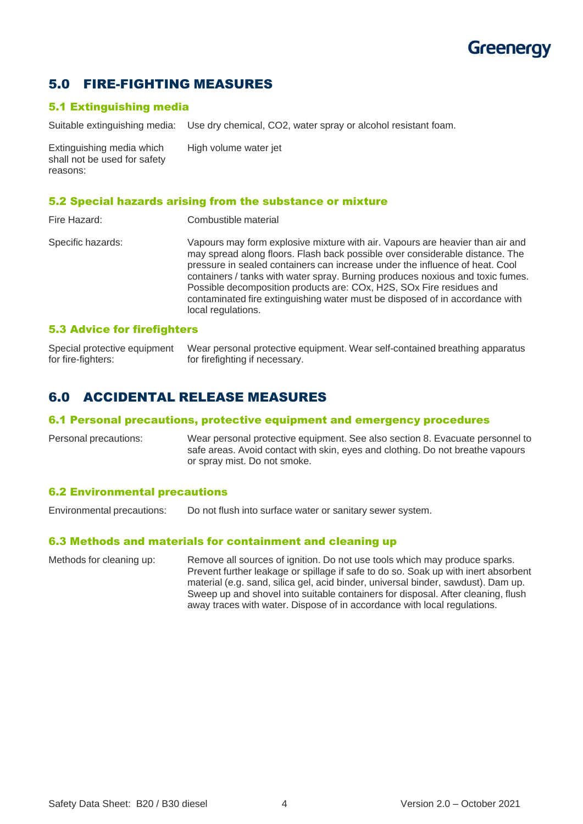# **Greenergy**

# 5.0 FIRE-FIGHTING MEASURES

# 5.1 Extinguishing media

Suitable extinguishing media: Use dry chemical, CO2, water spray or alcohol resistant foam.

Extinguishing media which High volume water jet shall not be used for safety reasons:

## 5.2 Special hazards arising from the substance or mixture

| Fire Hazard:      | Combustible material                                                                                                                                                                                                                                                                                                                                                                                                                                                                                          |
|-------------------|---------------------------------------------------------------------------------------------------------------------------------------------------------------------------------------------------------------------------------------------------------------------------------------------------------------------------------------------------------------------------------------------------------------------------------------------------------------------------------------------------------------|
| Specific hazards: | Vapours may form explosive mixture with air. Vapours are heavier than air and<br>may spread along floors. Flash back possible over considerable distance. The<br>pressure in sealed containers can increase under the influence of heat. Cool<br>containers / tanks with water spray. Burning produces noxious and toxic fumes.<br>Possible decomposition products are: COx, H2S, SOx Fire residues and<br>contaminated fire extinguishing water must be disposed of in accordance with<br>local regulations. |
|                   |                                                                                                                                                                                                                                                                                                                                                                                                                                                                                                               |

## 5.3 Advice for firefighters

Special protective equipment Wear personal protective equipment. Wear self-contained breathing apparatus for fire-fighters: for firefighting if necessary.

# 6.0 ACCIDENTAL RELEASE MEASURES

#### 6.1 Personal precautions, protective equipment and emergency procedures

Personal precautions: Wear personal protective equipment. See also section 8. Evacuate personnel to safe areas. Avoid contact with skin, eyes and clothing. Do not breathe vapours or spray mist. Do not smoke.

#### 6.2 Environmental precautions

Environmental precautions: Do not flush into surface water or sanitary sewer system.

#### 6.3 Methods and materials for containment and cleaning up

Methods for cleaning up: Remove all sources of ignition. Do not use tools which may produce sparks. Prevent further leakage or spillage if safe to do so. Soak up with inert absorbent material (e.g. sand, silica gel, acid binder, universal binder, sawdust). Dam up. Sweep up and shovel into suitable containers for disposal. After cleaning, flush away traces with water. Dispose of in accordance with local regulations.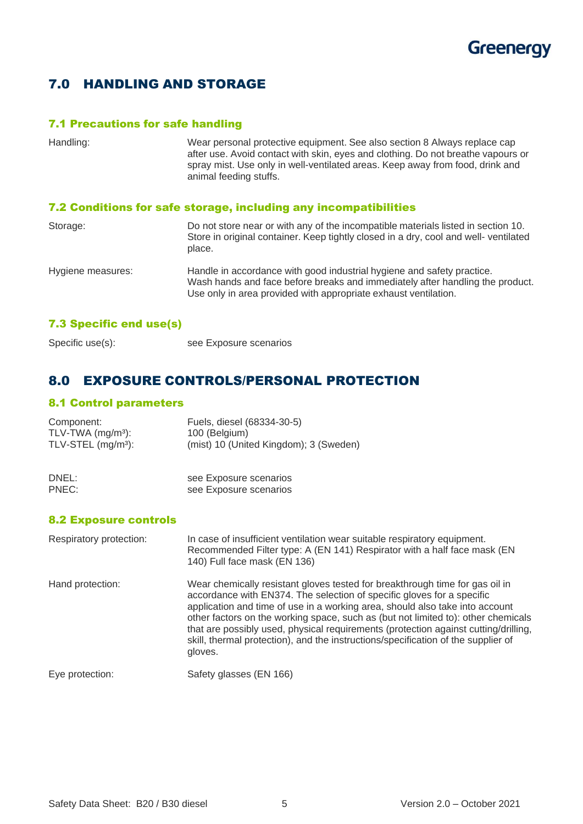

# 7.0 HANDLING AND STORAGE

# 7.1 Precautions for safe handling

| Handling:         | Wear personal protective equipment. See also section 8 Always replace cap<br>after use. Avoid contact with skin, eyes and clothing. Do not breathe vapours or<br>spray mist. Use only in well-ventilated areas. Keep away from food, drink and<br>animal feeding stuffs. |
|-------------------|--------------------------------------------------------------------------------------------------------------------------------------------------------------------------------------------------------------------------------------------------------------------------|
|                   | 7.2 Conditions for safe storage, including any incompatibilities                                                                                                                                                                                                         |
| Storage:          | Do not store near or with any of the incompatible materials listed in section 10.<br>Store in original container. Keep tightly closed in a dry, cool and well-ventilated<br>place.                                                                                       |
| Hygiene measures: | Handle in accordance with good industrial hygiene and safety practice.<br>Wash hands and face before breaks and immediately after handling the product.<br>Use only in area provided with appropriate exhaust ventilation.                                               |

# 7.3 Specific end use(s)

| see Exposure scenarios |
|------------------------|
|                        |

# 8.0 EXPOSURE CONTROLS/PERSONAL PROTECTION

see Exposure scenarios

# 8.1 Control parameters

| Component:                     | Fuels, diesel (68334-30-5)             |
|--------------------------------|----------------------------------------|
| TLV-TWA $(mg/m3)$ :            | 100 (Belgium)                          |
| TLV-STEL (mg/m <sup>3</sup> ): | (mist) 10 (United Kingdom); 3 (Sweden) |
| DNEL:                          | see Exposure scenarios                 |
| PNEC:                          | see Exposure scenarios                 |

## 8.2 Exposure controls

| Respiratory protection: | In case of insufficient ventilation wear suitable respiratory equipment.<br>Recommended Filter type: A (EN 141) Respirator with a half face mask (EN<br>140) Full face mask (EN 136)                                                                                                                                                                                                                                                                                                                               |
|-------------------------|--------------------------------------------------------------------------------------------------------------------------------------------------------------------------------------------------------------------------------------------------------------------------------------------------------------------------------------------------------------------------------------------------------------------------------------------------------------------------------------------------------------------|
| Hand protection:        | Wear chemically resistant gloves tested for breakthrough time for gas oil in<br>accordance with EN374. The selection of specific gloves for a specific<br>application and time of use in a working area, should also take into account<br>other factors on the working space, such as (but not limited to): other chemicals<br>that are possibly used, physical requirements (protection against cutting/drilling,<br>skill, thermal protection), and the instructions/specification of the supplier of<br>gloves. |
| Eye protection:         | Safety glasses (EN 166)                                                                                                                                                                                                                                                                                                                                                                                                                                                                                            |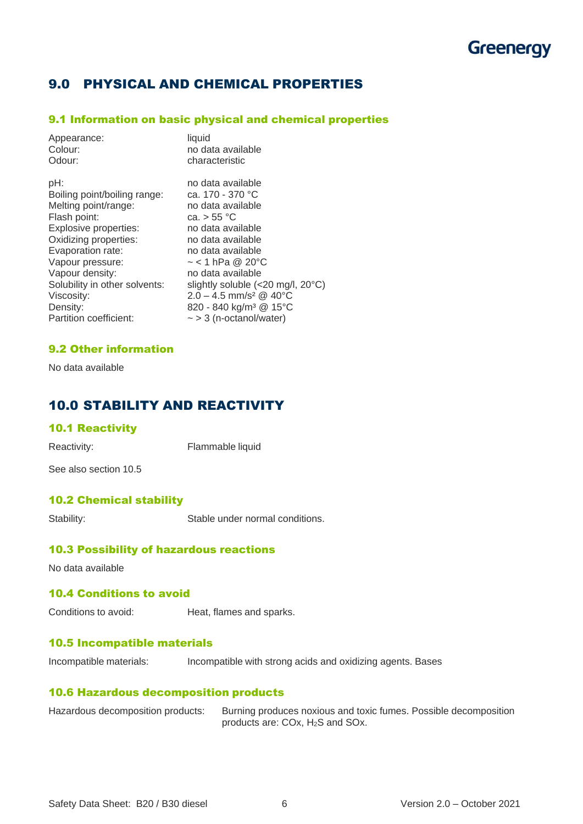# 9.0 PHYSICAL AND CHEMICAL PROPERTIES

## 9.1 Information on basic physical and chemical properties

| Appearance:                   | liquid                                      |
|-------------------------------|---------------------------------------------|
| Colour:                       | no data available                           |
| Odour:                        | characteristic                              |
| pH:                           | no data available                           |
| Boiling point/boiling range:  | ca. 170 - 370 °C                            |
| Melting point/range:          | no data available                           |
| Flash point:                  | ca. > 55 °C                                 |
| Explosive properties:         | no data available                           |
| Oxidizing properties:         | no data available                           |
| Evaporation rate:             | no data available                           |
| Vapour pressure:              | $\sim$ < 1 hPa @ 20°C                       |
| Vapour density:               | no data available                           |
| Solubility in other solvents: | slightly soluble (<20 mg/l, $20^{\circ}$ C) |
| Viscosity:                    | $2.0 - 4.5$ mm/s <sup>2</sup> @ 40°C        |
| Density:                      | 820 - 840 kg/m <sup>3</sup> @ 15°C          |
| Partition coefficient:        | $\sim$ > 3 (n-octanol/water)                |

## 9.2 Other information

No data available

# 10.0 STABILITY AND REACTIVITY

#### 10.1 Reactivity

Reactivity: Flammable liquid

See also section 10.5

# 10.2 Chemical stability

Stability: Stable under normal conditions.

## 10.3 Possibility of hazardous reactions

No data available

# 10.4 Conditions to avoid

Conditions to avoid: Heat, flames and sparks.

#### 10.5 Incompatible materials

Incompatible materials: Incompatible with strong acids and oxidizing agents. Bases

## 10.6 Hazardous decomposition products

| Hazardous decomposition products: | Burning produces noxious and toxic fumes. Possible decomposition |
|-----------------------------------|------------------------------------------------------------------|
|                                   | products are: COx, H <sub>2</sub> S and SOx.                     |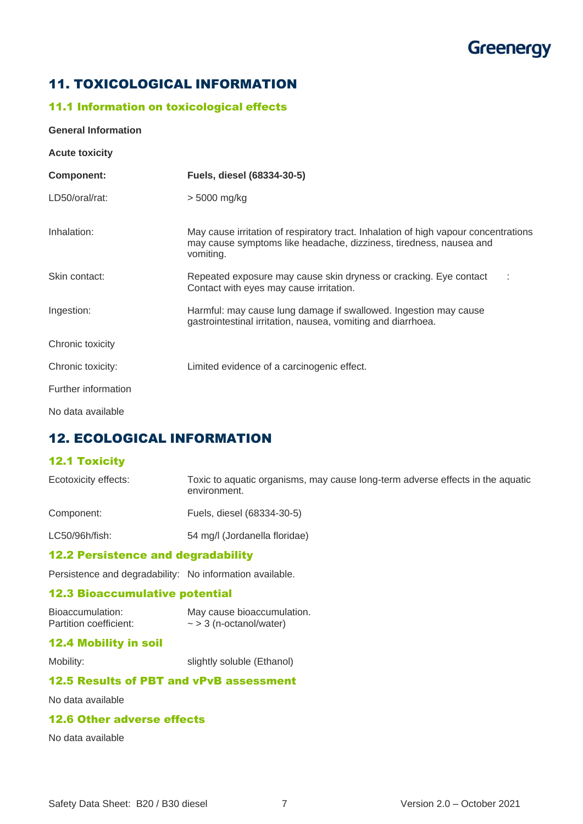# **Greenergy**

# 11. TOXICOLOGICAL INFORMATION

# 11.1 Information on toxicological effects

#### **General Information**

| <b>Acute toxicity</b> |                                                                                                                                                                        |
|-----------------------|------------------------------------------------------------------------------------------------------------------------------------------------------------------------|
| Component:            | Fuels, diesel (68334-30-5)                                                                                                                                             |
| LD50/oral/rat:        | $> 5000$ mg/kg                                                                                                                                                         |
| Inhalation:           | May cause irritation of respiratory tract. Inhalation of high vapour concentrations<br>may cause symptoms like headache, dizziness, tiredness, nausea and<br>vomiting. |
| Skin contact:         | Repeated exposure may cause skin dryness or cracking. Eye contact<br>Contact with eyes may cause irritation.                                                           |
| Ingestion:            | Harmful: may cause lung damage if swallowed. Ingestion may cause<br>gastrointestinal irritation, nausea, vomiting and diarrhoea.                                       |
| Chronic toxicity      |                                                                                                                                                                        |
| Chronic toxicity:     | Limited evidence of a carcinogenic effect.                                                                                                                             |
| Further information   |                                                                                                                                                                        |
| No data available     |                                                                                                                                                                        |

# 12. ECOLOGICAL INFORMATION

# 12.1 Toxicity

| Ecotoxicity effects: | Toxic to aquatic organisms, may cause long-term adverse effects in the aquatic<br>environment. |
|----------------------|------------------------------------------------------------------------------------------------|
| Component:           | Fuels, diesel (68334-30-5)                                                                     |

LC50/96h/fish: 54 mg/l (Jordanella floridae)

## 12.2 Persistence and degradability

Persistence and degradability: No information available.

## 12.3 Bioaccumulative potential

Bioaccumulation: May cause bioaccumulation.<br>Partition coefficient:  $\sim$  > 3 (n-octanol/water)  $\sim$  > 3 (n-octanol/water)

## 12.4 Mobility in soil

Mobility: slightly soluble (Ethanol)

# 12.5 Results of PBT and vPvB assessment

No data available

## 12.6 Other adverse effects

No data available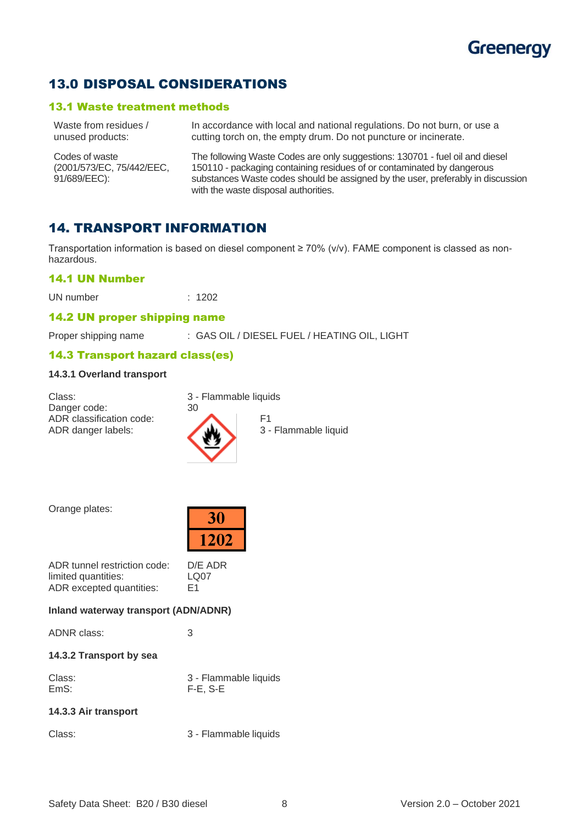

# 13.0 DISPOSAL CONSIDERATIONS

#### 13.1 Waste treatment methods

| Waste from residues /                                       | In accordance with local and national regulations. Do not burn, or use a                                                                                                                                                                                                          |
|-------------------------------------------------------------|-----------------------------------------------------------------------------------------------------------------------------------------------------------------------------------------------------------------------------------------------------------------------------------|
| unused products:                                            | cutting torch on, the empty drum. Do not puncture or incinerate.                                                                                                                                                                                                                  |
| Codes of waste<br>(2001/573/EC, 75/442/EEC,<br>91/689/EEC): | The following Waste Codes are only suggestions: 130701 - fuel oil and diesel<br>150110 - packaging containing residues of or contaminated by dangerous<br>substances Waste codes should be assigned by the user, preferably in discussion<br>with the waste disposal authorities. |

# 14. TRANSPORT INFORMATION

Transportation information is based on diesel component ≥ 70% (v/v). FAME component is classed as nonhazardous.

#### 14.1 UN Number

UN number : 1202

## 14.2 UN proper shipping name

Proper shipping name : GAS OIL / DIESEL FUEL / HEATING OIL, LIGHT

#### 14.3 Transport hazard class(es)

#### **14.3.1 Overland transport**

Class: 3 - Flammable liquids Danger code: 30 ADR classification code:<br>ADR danger labels: 3 -



Orange plates:

| 30  |
|-----|
| 202 |

| ADR tunnel restriction code: | D/E ADR          |
|------------------------------|------------------|
| limited quantities:          | LO <sub>07</sub> |
| ADR excepted quantities:     | F <sub>1</sub>   |

#### **Inland waterway transport (ADN/ADNR)**

| ADNR class:             | З                                      |
|-------------------------|----------------------------------------|
| 14.3.2 Transport by sea |                                        |
| Class:<br>EmS:          | 3 - Flammable liquids<br>$F-E$ , $S-E$ |
| 14.3.3 Air transport    |                                        |

Class: 3 - Flammable liquids